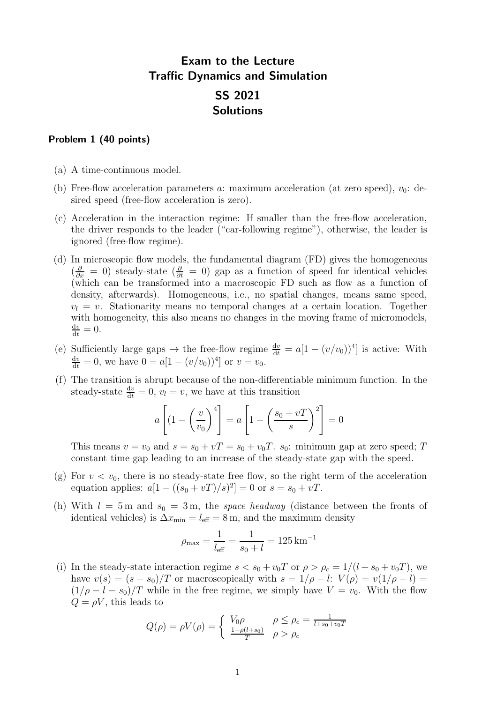# Exam to the Lecture Traffic Dynamics and Simulation SS 2021 Solutions

## Problem 1 (40 points)

- (a) A time-continuous model.
- (b) Free-flow acceleration parameters a: maximum acceleration (at zero speed),  $v_0$ : desired speed (free-flow acceleration is zero).
- (c) Acceleration in the interaction regime: If smaller than the free-flow acceleration, the driver responds to the leader ("car-following regime"), otherwise, the leader is ignored (free-flow regime).
- (d) In microscopic flow models, the fundamental diagram (FD) gives the homogeneous  $\left(\frac{\partial}{\partial x}\right)^{i} = 0$  steady-state  $\left(\frac{\partial}{\partial t}\right)^{i} = 0$  gap as a function of speed for identical vehicles (which can be transformed into a macroscopic FD such as flow as a function of density, afterwards). Homogeneous, i.e., no spatial changes, means same speed,  $v_l = v$ . Stationarity means no temporal changes at a certain location. Together with homogeneity, this also means no changes in the moving frame of micromodels,  $\frac{\mathrm{d}v}{\mathrm{d}t}=0.$
- (e) Sufficiently large gaps  $\rightarrow$  the free-flow regime  $\frac{dv}{dt} = a[1 (v/v_0))^4]$  is active: With  $\frac{dv}{dt} = 0$ , we have  $0 = a[1 - (v/v_0))^4]$  or  $v = v_0$ .
- (f) The transition is abrupt because of the non-differentiable minimum function. In the steady-state  $\frac{dv}{dt} = 0$ ,  $v_l = v$ , we have at this transition

$$
a\left[\left(1-\left(\frac{v}{v_0}\right)^4\right] = a\left[1-\left(\frac{s_0+vT}{s}\right)^2\right] = 0
$$

This means  $v = v_0$  and  $s = s_0 + vT = s_0 + v_0T$ .  $s_0$ : minimum gap at zero speed; T constant time gap leading to an increase of the steady-state gap with the speed.

- (g) For  $v < v_0$ , there is no steady-state free flow, so the right term of the acceleration equation applies:  $a[1 - ((s_0 + vT)/s)^2] = 0$  or  $s = s_0 + vT$ .
- (h) With  $l = 5$  m and  $s_0 = 3$  m, the space headway (distance between the fronts of identical vehicles) is  $\Delta x_{\text{min}} = l_{\text{eff}} = 8 \,\text{m}$ , and the maximum density

$$
\rho_{\text{max}} = \frac{1}{l_{\text{eff}}} = \frac{1}{s_0 + l} = 125 \,\text{km}^{-1}
$$

(i) In the steady-state interaction regime  $s < s_0 + v_0T$  or  $\rho > \rho_c = 1/(l + s_0 + v_0T)$ , we have  $v(s) = (s - s_0)/T$  or macroscopically with  $s = 1/\rho - l$ :  $V(\rho) = v(1/\rho - l)$  $(1/\rho - l - s_0)/T$  while in the free regime, we simply have  $V = v_0$ . With the flow  $Q = \rho V$ , this leads to

$$
Q(\rho) = \rho V(\rho) = \begin{cases} V_0 \rho & \rho \le \rho_c = \frac{1}{l + s_0 + v_0 T} \\ \frac{1 - \rho(l + s_0)}{T} & \rho > \rho_c \end{cases}
$$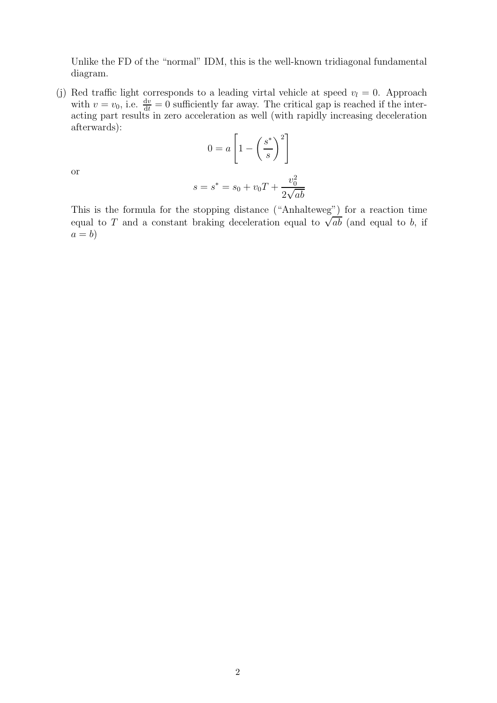Unlike the FD of the "normal" IDM, this is the well-known tridiagonal fundamental diagram.

(j) Red traffic light corresponds to a leading virtal vehicle at speed  $v_l = 0$ . Approach with  $v = v_0$ , i.e.  $\frac{dv}{dt} = 0$  sufficiently far away. The critical gap is reached if the interacting part results in zero acceleration as well (with rapidly increasing deceleration afterwards):

$$
0 = a \left[ 1 - \left(\frac{s^*}{s}\right)^2 \right]
$$

or

$$
s = s^* = s_0 + v_0 T + \frac{v_0^2}{2\sqrt{ab}}
$$

This is the formula for the stopping distance ("Anhalteweg") for a reaction time equal to T and a constant braking deceleration equal to  $\sqrt{ab}$  (and equal to b, if  $a = b$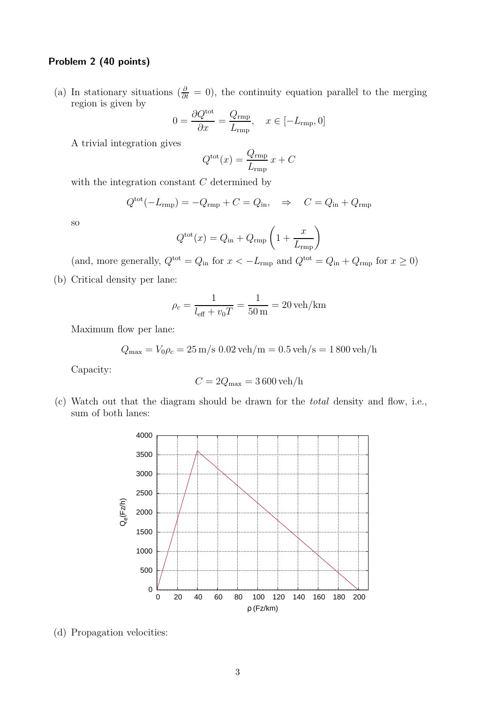## Problem 2 (40 points)

(a) In stationary situations ( $\frac{\partial}{\partial t} = 0$ ), the continuity equation parallel to the merging region is given by

$$
0 = \frac{\partial Q^{\text{tot}}}{\partial x} = \frac{Q_{\text{rmp}}}{L_{\text{rmp}}}, \quad x \in [-L_{\text{rmp}}, 0]
$$

A trivial integration gives

$$
Q^{\text{tot}}(x) = \frac{Q_{\text{rmp}}}{L_{\text{rmp}}} x + C
$$

with the integration constant  $C$  determined by

$$
Q^{\text{tot}}(-L_{\text{rmp}}) = -Q_{\text{rmp}} + C = Q_{\text{in}}, \quad \Rightarrow \quad C = Q_{\text{in}} + Q_{\text{rmp}}
$$

so

$$
Q^{\text{tot}}(x) = Q_{\text{in}} + Q_{\text{rmp}} \left( 1 + \frac{x}{L_{\text{rmp}}} \right)
$$

(and, more generally,  $Q^{\text{tot}} = Q_{\text{in}}$  for  $x < -L_{\text{rmp}}$  and  $Q^{\text{tot}} = Q_{\text{in}} + Q_{\text{rmp}}$  for  $x \ge 0$ )

(b) Critical density per lane:

$$
\rho_c = \frac{1}{l_{\text{eff}} + v_0 T} = \frac{1}{50 \text{ m}} = 20 \text{ veh/km}
$$

Maximum flow per lane:

$$
Q_{\text{max}} = V_0 \rho_c = 25 \text{ m/s } 0.02 \text{ veh/m} = 0.5 \text{ veh/s} = 1800 \text{ veh/h}
$$

Capacity:

$$
C = 2Q_{\text{max}} = 3\,600\,\text{veh/h}
$$

(c) Watch out that the diagram should be drawn for the total density and flow, i.e., sum of both lanes:



(d) Propagation velocities: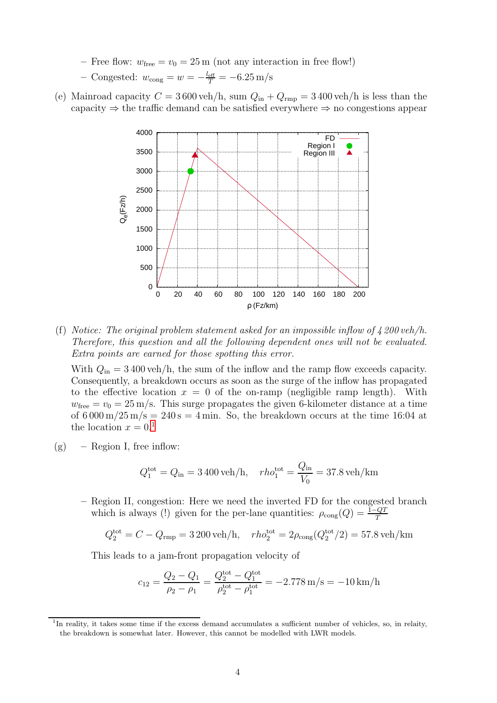- Free flow:  $w_{\text{free}} = v_0 = 25 \,\text{m}$  (not any interaction in free flow!)
- Congested:  $w_{\text{cong}} = w = -\frac{l_{\text{eff}}}{T} = -6.25 \text{ m/s}$
- (e) Mainroad capacity  $C = 3600$  veh/h, sum  $Q_{\text{in}} + Q_{\text{rmp}} = 3400$  veh/h is less than the capacity  $\Rightarrow$  the traffic demand can be satisfied everywhere  $\Rightarrow$  no congestions appear



(f) Notice: The original problem statement asked for an impossible inflow of  $\frac{1}{4}$  200 veh/h. Therefore, this question and all the following dependent ones will not be evaluated. Extra points are earned for those spotting this error.

With  $Q_{\rm in} = 3400$  veh/h, the sum of the inflow and the ramp flow exceeds capacity. Consequently, a breakdown occurs as soon as the surge of the inflow has propagated to the effective location  $x = 0$  of the on-ramp (negligible ramp length). With  $w_{\text{free}} = v_0 = 25 \,\text{m/s}$ . This surge propagates the given 6-kilometer distance at a time of  $6000 \text{ m}/25 \text{ m/s} = 240 \text{ s} = 4 \text{ min}$ . So, the breakdown occurs at the time 16:04 at the location  $x = 0.1$  $x = 0.1$ 

 $(g)$  – Region I, free inflow:

$$
Q_1^{\text{tot}} = Q_{\text{in}} = 3400 \text{ veh/h}, \quad rho_1^{\text{tot}} = \frac{Q_{\text{in}}}{V_0} = 37.8 \text{ veh/km}
$$

– Region II, congestion: Here we need the inverted FD for the congested branch which is always (!) given for the per-lane quantities:  $\rho_{\text{cong}}(Q) = \frac{1-QT}{T}$ 

$$
Q_2^{\text{tot}} = C - Q_{\text{rmp}} = 3200 \text{ veh/h}, \quad r h o_2^{\text{tot}} = 2 \rho_{\text{cong}} (Q_2^{\text{tot}} / 2) = 57.8 \text{ veh/km}
$$

This leads to a jam-front propagation velocity of

$$
c_{12} = \frac{Q_2 - Q_1}{\rho_2 - \rho_1} = \frac{Q_2^{\text{tot}} - Q_1^{\text{tot}}}{\rho_2^{\text{tot}} - \rho_1^{\text{tot}}} = -2.778 \text{ m/s} = -10 \text{ km/h}
$$

<span id="page-3-0"></span><sup>&</sup>lt;sup>1</sup>In reality, it takes some time if the excess demand accumulates a sufficient number of vehicles, so, in relaity, the breakdown is somewhat later. However, this cannot be modelled with LWR models.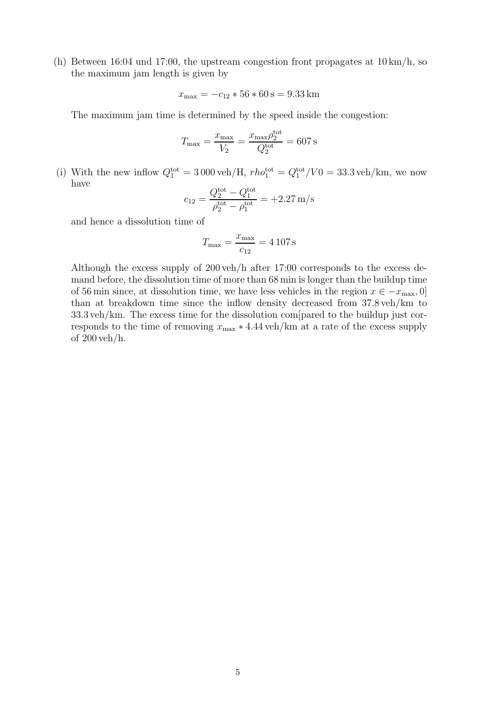(h) Between 16:04 und 17:00, the upstream congestion front propagates at 10 km/h, so the maximum jam length is given by

$$
x_{\text{max}} = -c_{12} * 56 * 60 \,\mathrm{s} = 9.33 \,\mathrm{km}
$$

The maximum jam time is determined by the speed inside the congestion:

$$
T_{\text{max}} = \frac{x_{\text{max}}}{V_2} = \frac{x_{\text{max}} \rho_2^{\text{tot}}}{Q_2^{\text{tot}}} = 607 \,\text{s}
$$

(i) With the new inflow  $Q_1^{\text{tot}} = 3000 \text{ veh/H}$ ,  $rho_1^{\text{tot}} = Q_1^{\text{tot}}/V0 = 33.3 \text{ veh/km}$ , we now have

$$
c_{12} = \frac{Q_2^{\text{tot}} - Q_1^{\text{tot}}}{\rho_2^{\text{tot}} - \rho_1^{\text{tot}}} = +2.27 \,\text{m/s}
$$

and hence a dissolution time of

$$
T_{\text{max}} = \frac{x_{\text{max}}}{c_{12}} = 4\,107\,\text{s}
$$

Although the excess supply of 200 veh/h after 17:00 corresponds to the excess demand before, the dissolution time of more than 68 min is longer than the buildup time of 56 min since, at dissolution time, we have less vehicles in the region  $x \in -x_{\text{max}}$ , 0] than at breakdown time since the inflow density decreased from 37.8 veh/km to 33.3 veh/km. The excess time for the dissolution com[pared to the buildup just corresponds to the time of removing  $x_{\text{max}} * 4.44$  veh/km at a rate of the excess supply of 200 veh/h.